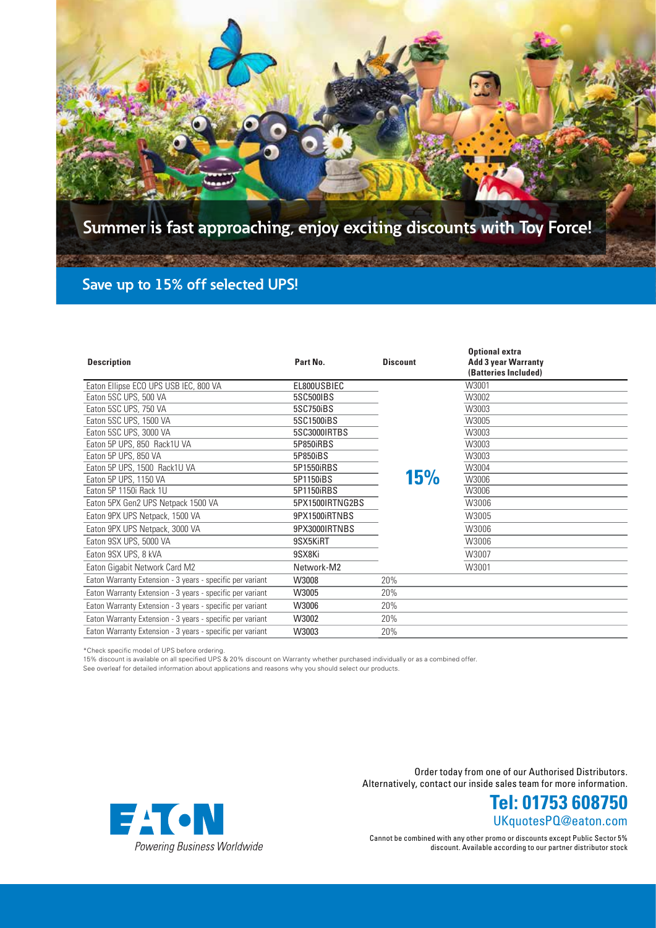

| <b>Description</b>                                        | Part No.               | <b>Discount</b> | <b>Optional extra</b><br><b>Add 3 year Warranty</b><br>(Batteries Included) |
|-----------------------------------------------------------|------------------------|-----------------|-----------------------------------------------------------------------------|
| Eaton Ellipse ECO UPS USB IEC, 800 VA                     | EL800USBIEC            |                 | W3001                                                                       |
| Eaton 5SC UPS, 500 VA                                     | 5SC500IBS              |                 | W3002                                                                       |
| Eaton 5SC UPS, 750 VA                                     | 5SC750iBS              |                 | W3003                                                                       |
| Eaton 5SC UPS, 1500 VA                                    | 5SC1500iBS             |                 | W3005                                                                       |
| Eaton 5SC UPS, 3000 VA                                    | 5SC3000IRTBS           |                 | W3003                                                                       |
| Eaton 5P UPS, 850 Rack1U VA                               | 5P850iRBS              |                 | W3003                                                                       |
| Eaton 5P UPS, 850 VA                                      | 5P850iBS               |                 | W3003                                                                       |
| Eaton 5P UPS, 1500 Rack1U VA                              | 5P1550iRBS             |                 | W3004                                                                       |
| Eaton 5P UPS, 1150 VA                                     | 5P1150 <sub>i</sub> BS | <b>15%</b>      | W3006                                                                       |
| Eaton 5P 1150i Rack 1U                                    | 5P1150iRBS             |                 | W3006                                                                       |
| Eaton 5PX Gen2 UPS Netpack 1500 VA                        | 5PX1500IRTNG2BS        |                 | W3006                                                                       |
| Eaton 9PX UPS Netpack, 1500 VA                            | 9PX1500iRTNBS          |                 | W3005                                                                       |
| Eaton 9PX UPS Netpack, 3000 VA                            | 9PX3000IRTNBS          |                 | W3006                                                                       |
| Eaton 9SX UPS, 5000 VA                                    | 9SX5KiRT               |                 | W3006                                                                       |
| Eaton 9SX UPS, 8 kVA                                      | 9SX8Ki                 |                 | W3007                                                                       |
| Eaton Gigabit Network Card M2                             | Network-M2             |                 | W3001                                                                       |
| Eaton Warranty Extension - 3 years - specific per variant | W3008                  | 20%             |                                                                             |
| Eaton Warranty Extension - 3 years - specific per variant | W3005                  | 20%             |                                                                             |
| Eaton Warranty Extension - 3 years - specific per variant | W3006                  | 20%             |                                                                             |
| Eaton Warranty Extension - 3 years - specific per variant | W3002                  | 20%             |                                                                             |
| Eaton Warranty Extension - 3 years - specific per variant | W3003                  | 20%             |                                                                             |

\*Check specific model of UPS before ordering.

15% discount is available on all specified UPS & 20% discount on Warranty whether purchased individually or as a combined offer.

See overleaf for detailed information about applications and reasons why you should select our products.



Order today from one of our Authorised Distributors. Alternatively, contact our inside sales team for more information.

> UKquotesPQ@eaton.com **Tel: 01753 608750**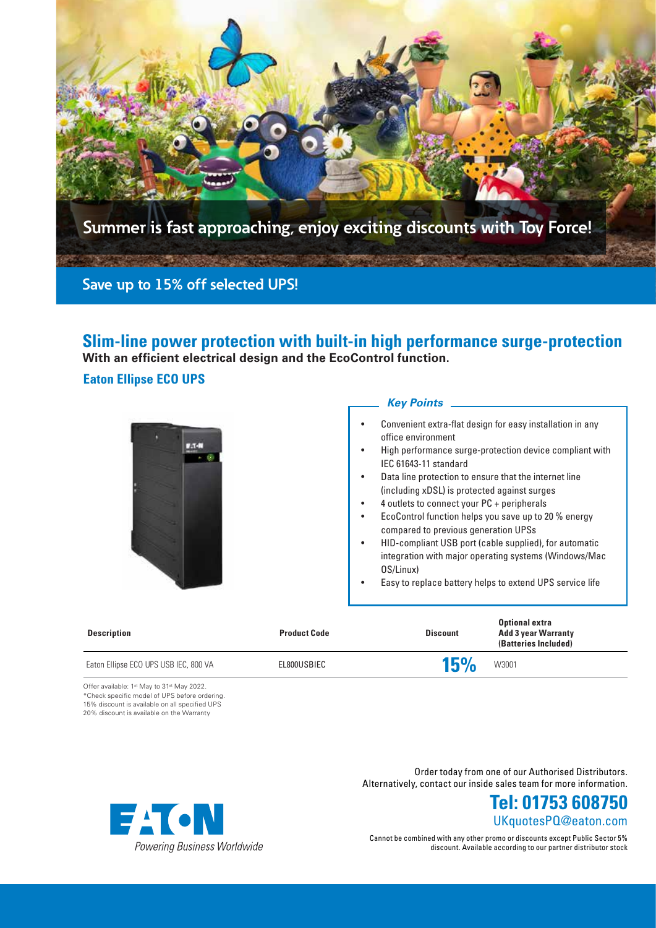

**Slim-line power protection with built-in high performance surge-protection With an efficient electrical design and the EcoControl function.** 

## **Eaton Ellipse ECO UPS**



### *Key Points*

- Convenient extra-flat design for easy installation in any office environment
- High performance surge-protection device compliant with IEC 61643-11 standard
- Data line protection to ensure that the internet line (including xDSL) is protected against surges
- 4 outlets to connect your PC + peripherals
- EcoControl function helps you save up to 20 % energy compared to previous generation UPSs
- HID-compliant USB port (cable supplied), for automatic integration with major operating systems (Windows/Mac OS/Linux)
- Easy to replace battery helps to extend UPS service life

| <b>Description</b>                    | <b>Product Code</b> | <b>Discount</b> | <b>Optional extra</b><br><b>Add 3 year Warranty</b><br>(Batteries Included) |
|---------------------------------------|---------------------|-----------------|-----------------------------------------------------------------------------|
| Eaton Ellipse ECO UPS USB IEC, 800 VA | EL800USBIEC         | 15%             | W3001                                                                       |

Offer available: 1<sup>st</sup> May to 31<sup>st</sup> May 2022. \*Check specific model of UPS before ordering. 15% discount is available on all specified UPS 20% discount is available on the Warranty



Order today from one of our Authorised Distributors. Alternatively, contact our inside sales team for more information.

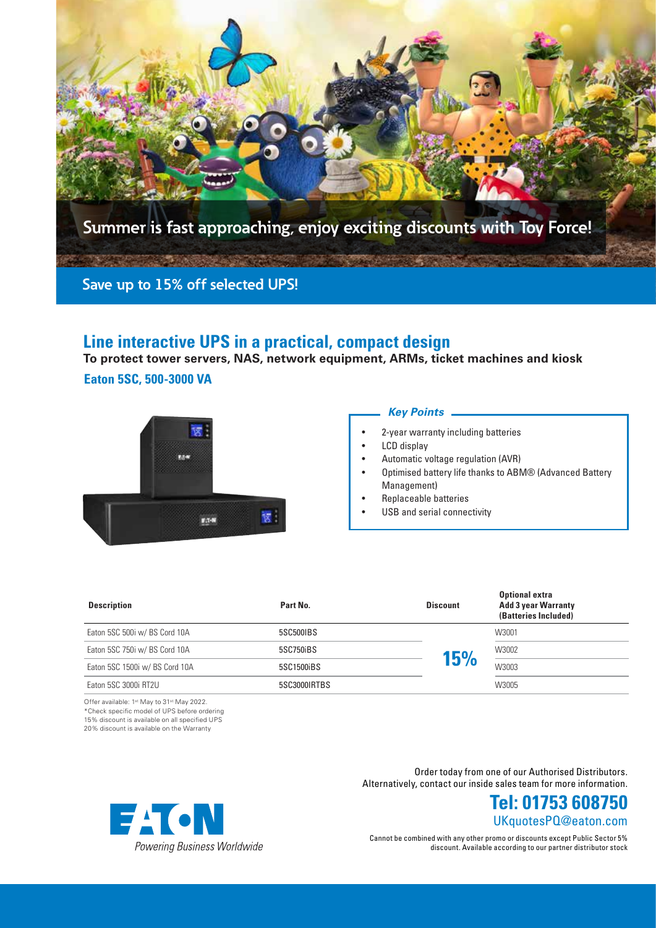

# **Line interactive UPS in a practical, compact design**

**To protect tower servers, NAS, network equipment, ARMs, ticket machines and kiosk**

### **Eaton 5SC, 500-3000 VA**



#### *Key Points*

- 2-year warranty including batteries
- LCD display
- Automatic voltage regulation (AVR)
- Optimised battery life thanks to ABM® (Advanced Battery Management)
- Replaceable batteries
- USB and serial connectivity

| <b>Description</b>             | Part No.     | <b>Discount</b> | <b>Optional extra</b><br><b>Add 3 year Warranty</b><br>(Batteries Included) |
|--------------------------------|--------------|-----------------|-----------------------------------------------------------------------------|
| Eaton 5SC 500i w/BS Cord 10A   | 5SC500IBS    |                 | W3001                                                                       |
| Eaton 5SC 750i w/ BS Cord 10A  | 5SC750iBS    | 15%             | W3002                                                                       |
| Eaton 5SC 1500i w/ BS Cord 10A | 5SC1500iBS   |                 | W3003                                                                       |
| Eaton 5SC 3000i RT2U           | 5SC3000IRTBS |                 | W3005                                                                       |

Offer available: 1st May to 31st May 2022. \*Check specific model of UPS before ordering 15% discount is available on all specified UPS

20% discount is available on the Warranty

Order today from one of our Authorised Distributors. Alternatively, contact our inside sales team for more information.



Cannot be combined with any other promo or discounts except Public Sector 5% discount. Available according to our partner distributor stock

UKquotesPQ@eaton.com **Tel: 01753 608750**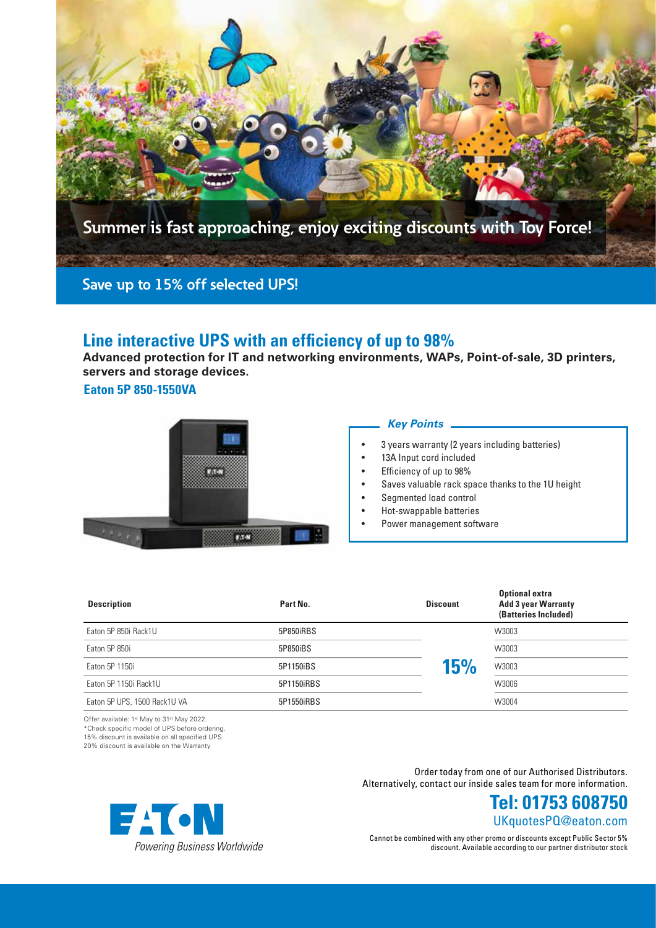

# **Line interactive UPS with an efficiency of up to 98%**

**Advanced protection for IT and networking environments, WAPs, Point-of-sale, 3D printers, servers and storage devices.**

**Eaton 5P 850-1550VA**



#### *Key Points*

- 3 years warranty (2 years including batteries)
- 13A Input cord included
- Efficiency of up to 98%
- Saves valuable rack space thanks to the 1U height
- Segmented load control
- Hot-swappable batteries
- Power management software

| <b>Description</b>           | Part No.   | <b>Discount</b> | <b>Optional extra</b><br><b>Add 3 year Warranty</b><br>(Batteries Included) |  |
|------------------------------|------------|-----------------|-----------------------------------------------------------------------------|--|
| Eaton 5P 850i Rack1U         | 5P850iRBS  |                 | W3003                                                                       |  |
| Eaton 5P 850i                | 5P850iBS   |                 | W3003                                                                       |  |
| Eaton 5P 1150i               | 5P1150iBS  | 15%             | W3003                                                                       |  |
| Eaton 5P 1150i Rack1U        | 5P1150iRBS |                 | W3006                                                                       |  |
| Eaton 5P UPS, 1500 Rack1U VA | 5P1550iRBS |                 | W3004                                                                       |  |

Offer available: 1st May to 31st May 2022. \*Check specific model of UPS before ordering.

15% discount is available on all specified UPS

20% discount is available on the Warranty

Order today from one of our Authorised Distributors. Alternatively, contact our inside sales team for more information.



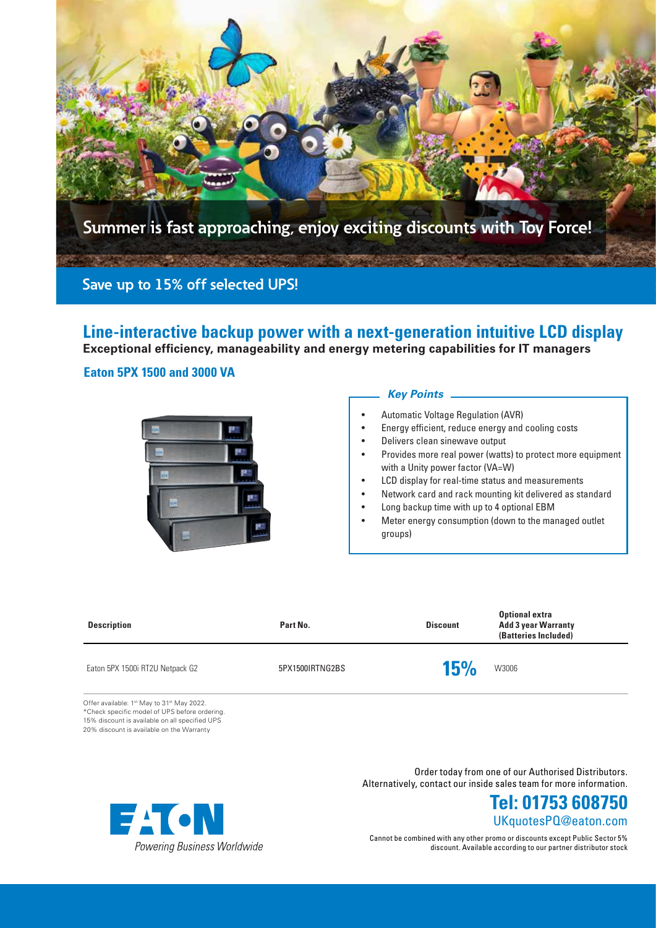

**Line-interactive backup power with a next-generation intuitive LCD display Exceptional efficiency, manageability and energy metering capabilities for IT managers**

### **Eaton 5PX 1500 and 3000 VA**



### *Key Points*

- Automatic Voltage Regulation (AVR)
- Energy efficient, reduce energy and cooling costs
- Delivers clean sinewave output
- Provides more real power (watts) to protect more equipment with a Unity power factor (VA=W)
- LCD display for real-time status and measurements
- Network card and rack mounting kit delivered as standard
- Long backup time with up to 4 optional EBM
- Meter energy consumption (down to the managed outlet groups)

| Part No.        |            | <b>Optional extra</b><br><b>Add 3 year Warranty</b><br>(Batteries Included) |
|-----------------|------------|-----------------------------------------------------------------------------|
| 5PX1500IRTNG2BS | <b>15%</b> | W3006                                                                       |
|                 |            | <b>Discount</b>                                                             |

Offer available: 1st May to 31st May 2022. \*Check specific model of UPS before ordering. 15% discount is available on all specified UPS 20% discount is available on the Warranty



Order today from one of our Authorised Distributors. Alternatively, contact our inside sales team for more information.

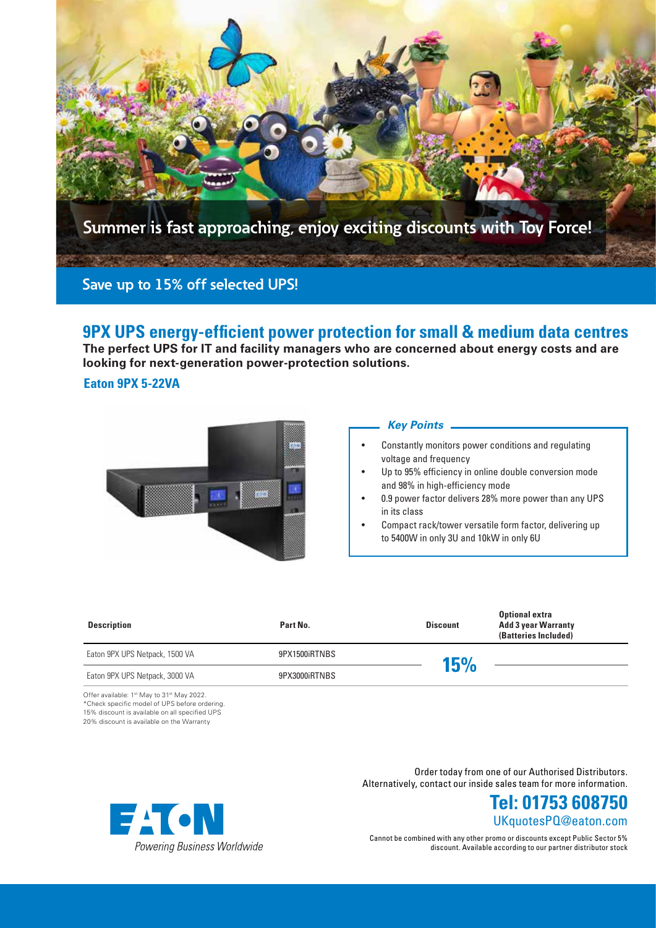

# **9PX UPS energy-efficient power protection for small & medium data centres**

**The perfect UPS for IT and facility managers who are concerned about energy costs and are looking for next-generation power-protection solutions.**

### **Eaton 9PX 5-22VA**



#### *Key Points*

- Constantly monitors power conditions and regulating voltage and frequency
- Up to 95% efficiency in online double conversion mode and 98% in high-efficiency mode
- 0.9 power factor delivers 28% more power than any UPS in its class
- Compact rack/tower versatile form factor, delivering up to 5400W in only 3U and 10kW in only 6U

| <b>Description</b>             | Part No.      | <b>Discount</b> | <b>Optional extra</b><br><b>Add 3 year Warranty</b><br>(Batteries Included) |
|--------------------------------|---------------|-----------------|-----------------------------------------------------------------------------|
| Eaton 9PX UPS Netpack, 1500 VA | 9PX1500iRTNBS | 15%             |                                                                             |
| Eaton 9PX UPS Netpack, 3000 VA | 9PX3000iRTNBS |                 |                                                                             |

Offer available: 1st May to 31st May 2022. \*Check specific model of UPS before ordering. 15% discount is available on all specified UPS 20% discount is available on the Warranty

> Order today from one of our Authorised Distributors. Alternatively, contact our inside sales team for more information.



Cannot be combined with any other promo or discounts except Public Sector 5% discount. Available according to our partner distributor stock

UKquotesPQ@eaton.com **Tel: 01753 608750**